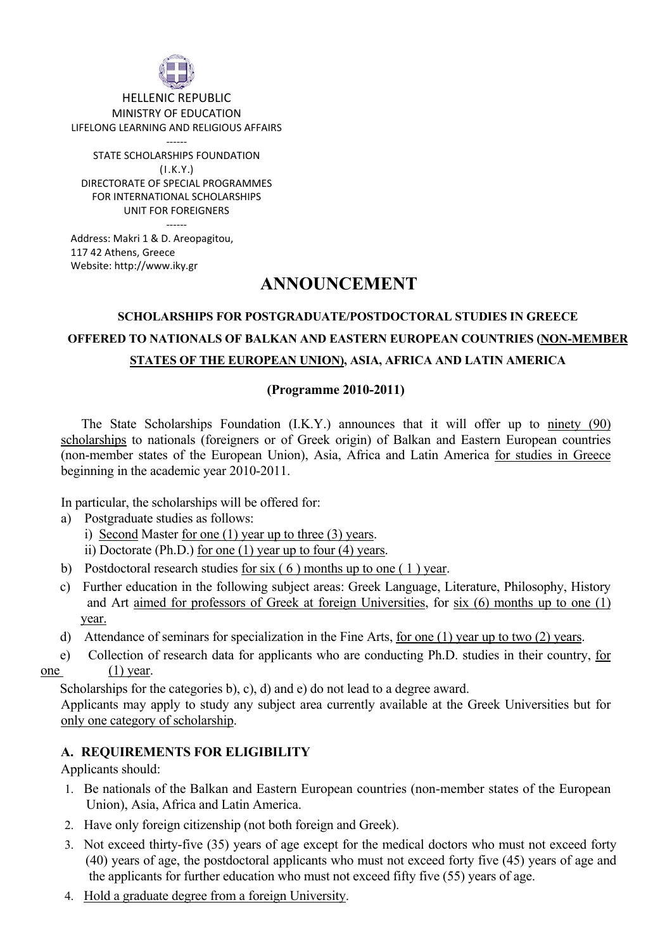

HELLENIC REPUBLIC MINISTRY OF EDUCATION LIFELONG LEARNING AND RELIGIOUS AFFAIRS

‐‐‐‐‐‐ STATE SCHOLARSHIPS FOUNDATION (Ι.Κ.Υ.) DIRECTORATE OF SPECIAL PROGRAMMES FOR INTERNATIONAL SCHOLARSHIPS UNIT FOR FOREIGNERS ‐‐‐‐‐‐

Address: Makri 1 & D. Areopagitou, 117 42 Athens, Greece Website: http://www.iky.gr

# **ANNOUNCEMENT**

# **SCHOLARSHIPS FOR POSTGRADUATE/POSTDOCTORAL STUDIES IN GREECE OFFERED TO NATIONALS OF BALKAN AND EASTERN EUROPEAN COUNTRIES (NON-MEMBER STATES OF THE EUROPEAN UNION), ASIA, AFRICA AND LATIN AMERICA**

# **(Programme 2010-2011)**

The State Scholarships Foundation (I.K.Y.) announces that it will offer up to ninety (90) scholarships to nationals (foreigners or of Greek origin) of Balkan and Eastern European countries (non-member states of the European Union), Asia, Africa and Latin America for studies in Greece beginning in the academic year 2010-2011.

In particular, the scholarships will be offered for:

- a) Postgraduate studies as follows:
	- i) Second Master for one (1) year up to three (3) years.
	- ii) Doctorate (Ph.D.) for one (1) year up to four (4) years.
- b) Postdoctoral research studies for six ( 6 ) months up to one ( 1 ) year.
- c) Further education in the following subject areas: Greek Language, Literature, Philosophy, History and Art aimed for professors of Greek at foreign Universities, for six (6) months up to one (1) year.
- d) Attendance of seminars for specialization in the Fine Arts, for one (1) year up to two (2) years.
- e) Collection of research data for applicants who are conducting Ph.D. studies in their country, for one (1) year.
- 

Scholarships for the categories b), c), d) and e) do not lead to a degree award.

Applicants may apply to study any subject area currently available at the Greek Universities but for only one category of scholarship.

# **A. REQUIREMENTS FOR ELIGIBILITY**

Applicants should:

- 1. Be nationals of the Balkan and Eastern European countries (non-member states of the European Union), Asia, Africa and Latin America.
- 2. Have only foreign citizenship (not both foreign and Greek).
- 3. Not exceed thirty-five (35) years of age except for the medical doctors who must not exceed forty (40) years of age, the postdoctoral applicants who must not exceed forty five (45) years of age and the applicants for further education who must not exceed fifty five (55) years of age.
- 4. Hold a graduate degree from a foreign University.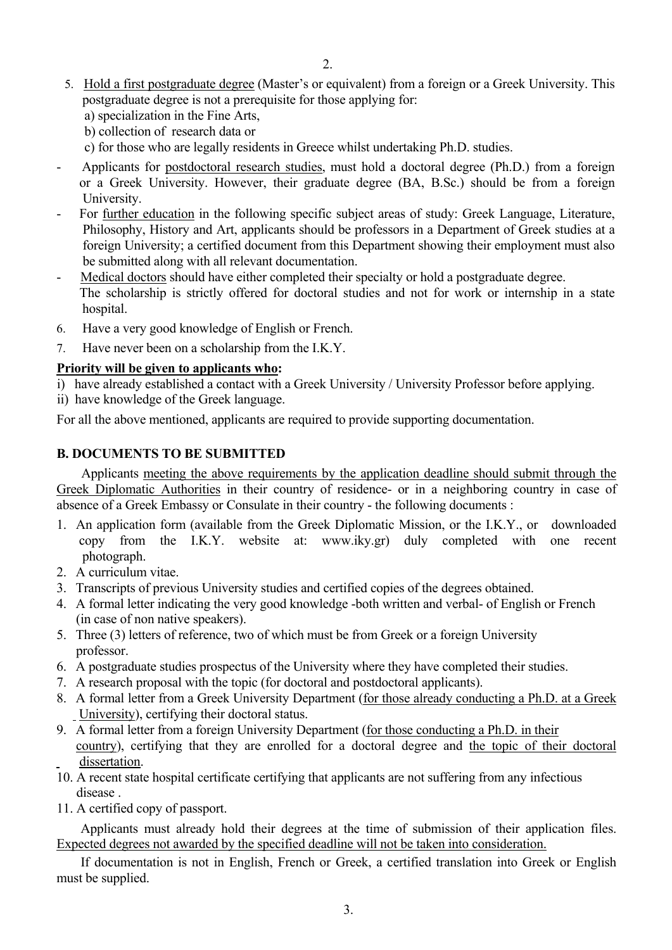- 5. Hold a first postgraduate degree (Master's or equivalent) from a foreign or a Greek University. This postgraduate degree is not a prerequisite for those applying for:
	- a) specialization in the Fine Arts,
	- b) collection of research data or
	- c) for those who are legally residents in Greece whilst undertaking Ph.D. studies.
- Applicants for postdoctoral research studies, must hold a doctoral degree (Ph.D.) from a foreign or a Greek University. However, their graduate degree (BA, B.Sc.) should be from a foreign University.
- For further education in the following specific subject areas of study: Greek Language, Literature, Philosophy, History and Art, applicants should be professors in a Department of Greek studies at a foreign University; a certified document from this Department showing their employment must also be submitted along with all relevant documentation.
- Medical doctors should have either completed their specialty or hold a postgraduate degree. The scholarship is strictly offered for doctoral studies and not for work or internship in a state hospital.
- 6. Have a very good knowledge of English or French.
- 7. Have never been on a scholarship from the I.K.Y.

# **Priority will be given to applicants who:**

- i) have already established a contact with a Greek University / University Professor before applying.
- ii) have knowledge of the Greek language.

For all the above mentioned, applicants are required to provide supporting documentation.

# **B. DOCUMENTS TO BE SUBMITTED**

 Applicants meeting the above requirements by the application deadline should submit through the Greek Diplomatic Authorities in their country of residence- or in a neighboring country in case of absence of a Greek Embassy or Consulate in their country - the following documents :

- 1. An application form (available from the Greek Diplomatic Mission, or the I.K.Y., or downloaded copy from the I.K.Y. website at: www.iky.gr) duly completed with one recent photograph.
- 2. A curriculum vitae.
- 3. Transcripts of previous University studies and certified copies of the degrees obtained.
- 4. A formal letter indicating the very good knowledge -both written and verbal- of English or French (in case of non native speakers).
- 5. Three (3) letters of reference, two of which must be from Greek or a foreign University professor.
- 6. A postgraduate studies prospectus of the University where they have completed their studies.
- 7. A research proposal with the topic (for doctoral and postdoctoral applicants).
- 8. A formal letter from a Greek University Department (for those already conducting a Ph.D. at a Greek University), certifying their doctoral status.
- 9. A formal letter from a foreign University Department (for those conducting a Ph.D. in their country), certifying that they are enrolled for a doctoral degree and the topic of their doctoral dissertation.
- 10. A recent state hospital certificate certifying that applicants are not suffering from any infectious disease .
- 11. A certified copy of passport.

Applicants must already hold their degrees at the time of submission of their application files. Expected degrees not awarded by the specified deadline will not be taken into consideration.

If documentation is not in English, French or Greek, a certified translation into Greek or English must be supplied.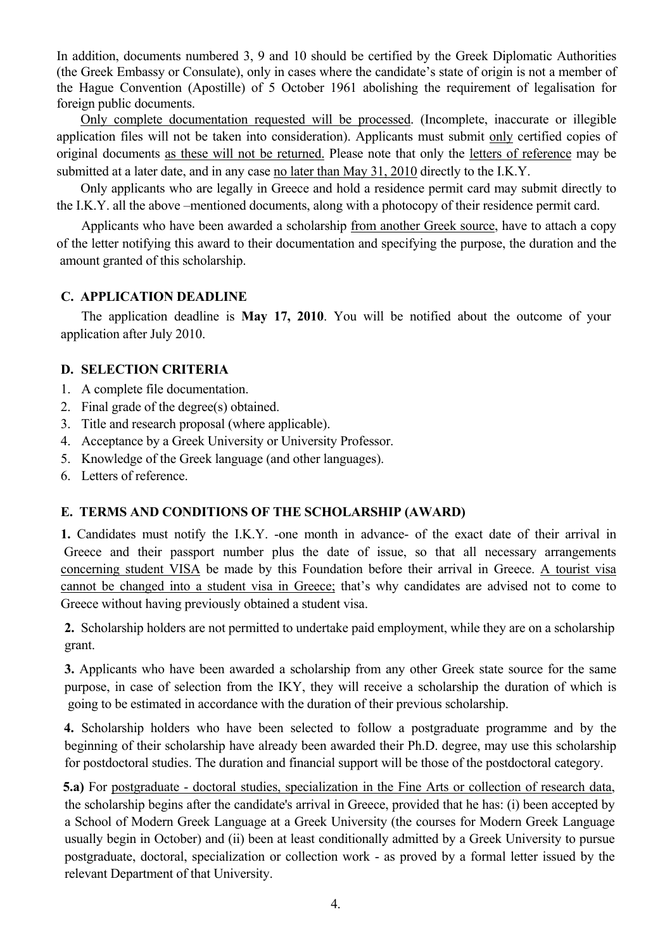In addition, documents numbered 3, 9 and 10 should be certified by the Greek Diplomatic Authorities (the Greek Embassy or Consulate), only in cases where the candidate's state of origin is not a member of the Hague Convention (Apostille) of 5 October 1961 abolishing the requirement of legalisation for foreign public documents.

Only complete documentation requested will be processed. (Incomplete, inaccurate or illegible application files will not be taken into consideration). Applicants must submit only certified copies of original documents as these will not be returned. Please note that only the letters of reference may be submitted at a later date, and in any case no later than May 31, 2010 directly to the I.K.Y.

Only applicants who are legally in Greece and hold a residence permit card may submit directly to the I.K.Y. all the above –mentioned documents, along with a photocopy of their residence permit card.

 Applicants who have been awarded a scholarship from another Greek source, have to attach a copy of the letter notifying this award to their documentation and specifying the purpose, the duration and the amount granted of this scholarship.

#### **C. APPLICATION DEADLINE**

 The application deadline is **May 17, 2010**. You will be notified about the outcome of your application after July 2010.

# **D. SELECTION CRITERIA**

- 1. A complete file documentation.
- 2. Final grade of the degree(s) obtained.
- 3. Title and research proposal (where applicable).
- 4. Acceptance by a Greek University or University Professor.
- 5. Knowledge of the Greek language (and other languages).
- 6. Letters of reference.

# **Ε. TERMS AND CONDITIONS OF THE SCHOLARSHIP (AWARD)**

**1.** Candidates must notify the I.K.Y. -one month in advance- of the exact date of their arrival in Greece and their passport number plus the date of issue, so that all necessary arrangements concerning student VISA be made by this Foundation before their arrival in Greece. A tourist visa cannot be changed into a student visa in Greece; that's why candidates are advised not to come to Greece without having previously obtained a student visa.

**2.** Scholarship holders are not permitted to undertake paid employment, while they are on a scholarship grant.

**3.** Applicants who have been awarded a scholarship from any other Greek state source for the same purpose, in case of selection from the IKY, they will receive a scholarship the duration of which is going to be estimated in accordance with the duration of their previous scholarship.

**4.** Scholarship holders who have been selected to follow a postgraduate programme and by the beginning of their scholarship have already been awarded their Ph.D. degree, may use this scholarship for postdoctoral studies. The duration and financial support will be those of the postdoctoral category.

 **5.a)** For postgraduate - doctoral studies, specialization in the Fine Arts or collection of research data, the scholarship begins after the candidate's arrival in Greece, provided that he has: (i) been accepted by a School of Modern Greek Language at a Greek University (the courses for Modern Greek Language usually begin in October) and (ii) been at least conditionally admitted by a Greek University to pursue postgraduate, doctoral, specialization or collection work - as proved by a formal letter issued by the relevant Department of that University.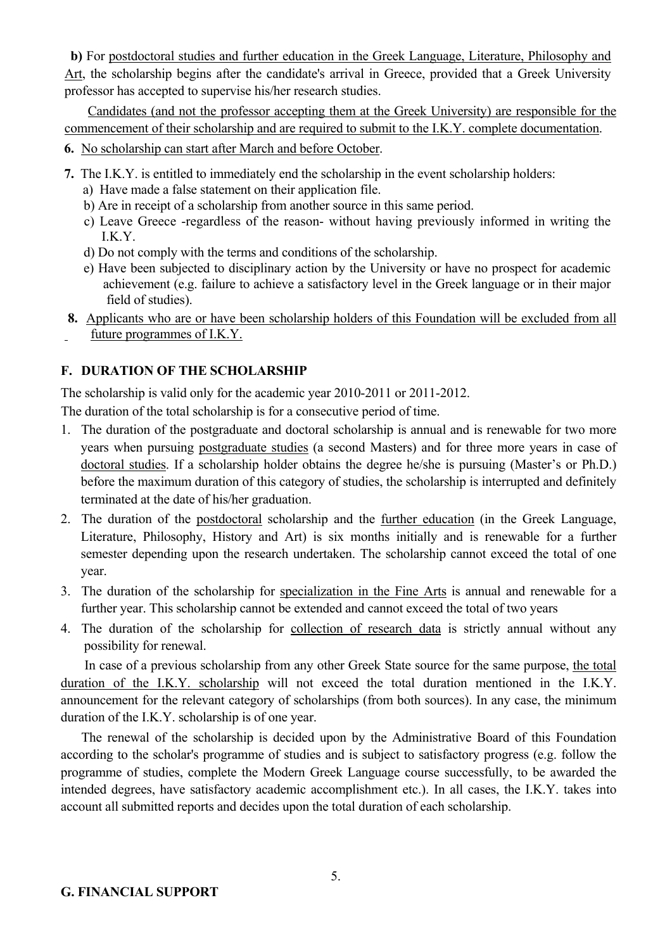**b)** For postdoctoral studies and further education in the Greek Language, Literature, Philosophy and Art, the scholarship begins after the candidate's arrival in Greece, provided that a Greek University professor has accepted to supervise his/her research studies.

 Candidates (and not the professor accepting them at the Greek University) are responsible for the commencement of their scholarship and are required to submit to the I.K.Y. complete documentation.

- **6.** No scholarship can start after March and before October.
- **7.** The I.K.Y. is entitled to immediately end the scholarship in the event scholarship holders:
	- a) Have made a false statement on their application file.
	- b) Are in receipt of a scholarship from another source in this same period.
	- c) Leave Greece -regardless of the reason- without having previously informed in writing the I.K.Y.
	- d) Do not comply with the terms and conditions of the scholarship.
	- e) Have been subjected to disciplinary action by the University or have no prospect for academic achievement (e.g. failure to achieve a satisfactory level in the Greek language or in their major field of studies).
- **8.** Applicants who are or have been scholarship holders of this Foundation will be excluded from all future programmes of I.K.Y.

# **F. DURATION OF THE SCHOLARSHIP**

The scholarship is valid only for the academic year 2010-2011 or 2011-2012.

The duration of the total scholarship is for a consecutive period of time.

- 1. The duration of the postgraduate and doctoral scholarship is annual and is renewable for two more years when pursuing postgraduate studies (a second Masters) and for three more years in case of doctoral studies. If a scholarship holder obtains the degree he/she is pursuing (Master's or Ph.D.) before the maximum duration of this category of studies, the scholarship is interrupted and definitely terminated at the date of his/her graduation.
- 2. The duration of the postdoctoral scholarship and the further education (in the Greek Language, Literature, Philosophy, History and Art) is six months initially and is renewable for a further semester depending upon the research undertaken. The scholarship cannot exceed the total of one year.
- 3. The duration of the scholarship for specialization in the Fine Arts is annual and renewable for a further year. This scholarship cannot be extended and cannot exceed the total of two years
- 4. The duration of the scholarship for collection of research data is strictly annual without any possibility for renewal.

 In case of a previous scholarship from any other Greek State source for the same purpose, the total duration of the I.K.Y. scholarship will not exceed the total duration mentioned in the I.K.Y. announcement for the relevant category of scholarships (from both sources). In any case, the minimum duration of the I.K.Y. scholarship is of one year.

 The renewal of the scholarship is decided upon by the Administrative Board of this Foundation according to the scholar's programme of studies and is subject to satisfactory progress (e.g. follow the programme of studies, complete the Modern Greek Language course successfully, to be awarded the intended degrees, have satisfactory academic accomplishment etc.). In all cases, the I.K.Y. takes into account all submitted reports and decides upon the total duration of each scholarship.